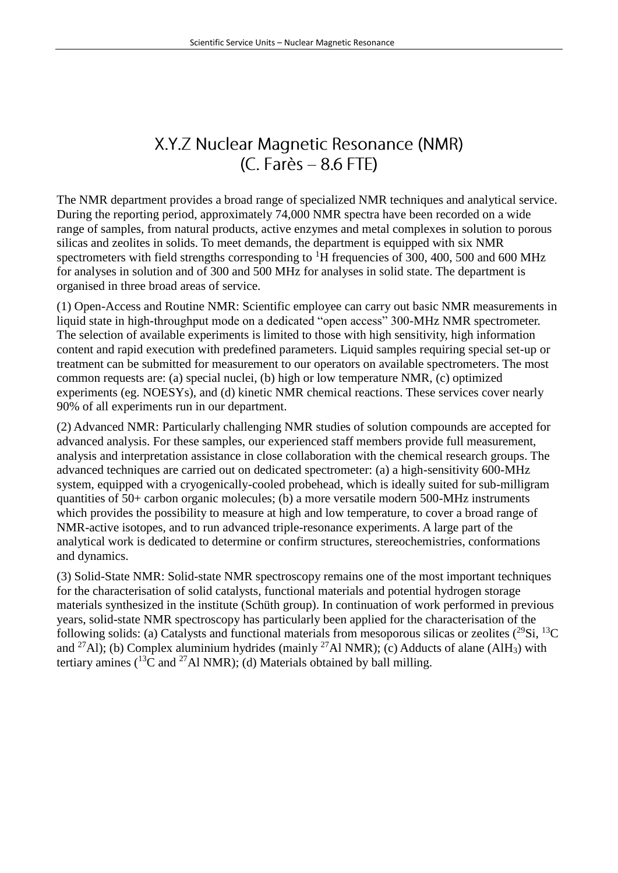# X.Y.Z Nuclear Magnetic Resonance (NMR)  $(C. Farès - 8.6 FTE)$

The NMR department provides a broad range of specialized NMR techniques and analytical service. During the reporting period, approximately 74,000 NMR spectra have been recorded on a wide range of samples, from natural products, active enzymes and metal complexes in solution to porous silicas and zeolites in solids. To meet demands, the department is equipped with six NMR spectrometers with field strengths corresponding to  ${}^{1}H$  frequencies of 300, 400, 500 and 600 MHz for analyses in solution and of 300 and 500 MHz for analyses in solid state. The department is organised in three broad areas of service.

(1) Open-Access and Routine NMR: Scientific employee can carry out basic NMR measurements in liquid state in high-throughput mode on a dedicated "open access" 300-MHz NMR spectrometer. The selection of available experiments is limited to those with high sensitivity, high information content and rapid execution with predefined parameters. Liquid samples requiring special set-up or treatment can be submitted for measurement to our operators on available spectrometers. The most common requests are: (a) special nuclei, (b) high or low temperature NMR, (c) optimized experiments (eg. NOESYs), and (d) kinetic NMR chemical reactions. These services cover nearly 90% of all experiments run in our department.

(2) Advanced NMR: Particularly challenging NMR studies of solution compounds are accepted for advanced analysis. For these samples, our experienced staff members provide full measurement, analysis and interpretation assistance in close collaboration with the chemical research groups. The advanced techniques are carried out on dedicated spectrometer: (a) a high-sensitivity 600-MHz system, equipped with a cryogenically-cooled probehead, which is ideally suited for sub-milligram quantities of 50+ carbon organic molecules; (b) a more versatile modern 500-MHz instruments which provides the possibility to measure at high and low temperature, to cover a broad range of NMR-active isotopes, and to run advanced triple-resonance experiments. A large part of the analytical work is dedicated to determine or confirm structures, stereochemistries, conformations and dynamics.

(3) Solid-State NMR: Solid-state NMR spectroscopy remains one of the most important techniques for the characterisation of solid catalysts, functional materials and potential hydrogen storage materials synthesized in the institute (Schüth group). In continuation of work performed in previous years, solid-state NMR spectroscopy has particularly been applied for the characterisation of the following solids: (a) Catalysts and functional materials from mesoporous silicas or zeolites  $(^{29}Si, ^{13}C)$ and <sup>27</sup>Al); (b) Complex aluminium hydrides (mainly <sup>27</sup>Al NMR); (c) Adducts of alane (AlH<sub>3</sub>) with tertiary amines  $(^{13}\text{C}$  and <sup>27</sup>Al NMR); (d) Materials obtained by ball milling.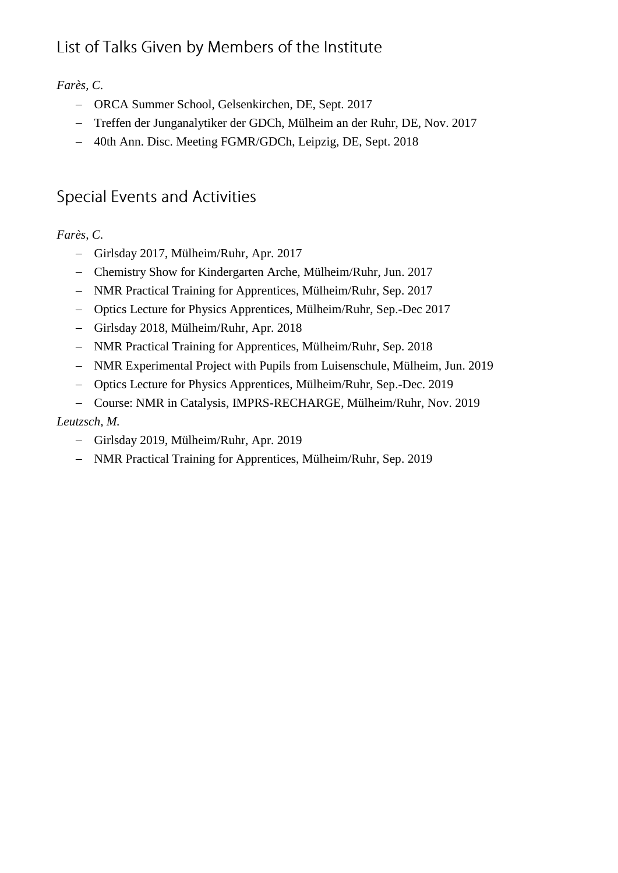# List of Talks Given by Members of the Institute

## *Farès, C.*

- ORCA Summer School, Gelsenkirchen, DE, Sept. 2017
- Treffen der Junganalytiker der GDCh, Mülheim an der Ruhr, DE, Nov. 2017
- 40th Ann. Disc. Meeting FGMR/GDCh, Leipzig, DE, Sept. 2018

# **Special Events and Activities**

## *Farès, C.*

- Girlsday 2017, Mülheim/Ruhr, Apr. 2017
- Chemistry Show for Kindergarten Arche, Mülheim/Ruhr, Jun. 2017
- NMR Practical Training for Apprentices, Mülheim/Ruhr, Sep. 2017
- Optics Lecture for Physics Apprentices, Mülheim/Ruhr, Sep.-Dec 2017
- Girlsday 2018, Mülheim/Ruhr, Apr. 2018
- NMR Practical Training for Apprentices, Mülheim/Ruhr, Sep. 2018
- NMR Experimental Project with Pupils from Luisenschule, Mülheim, Jun. 2019
- Optics Lecture for Physics Apprentices, Mülheim/Ruhr, Sep.-Dec. 2019
- Course: NMR in Catalysis, IMPRS-RECHARGE, Mülheim/Ruhr, Nov. 2019

## *Leutzsch, M.*

- Girlsday 2019, Mülheim/Ruhr, Apr. 2019
- NMR Practical Training for Apprentices, Mülheim/Ruhr, Sep. 2019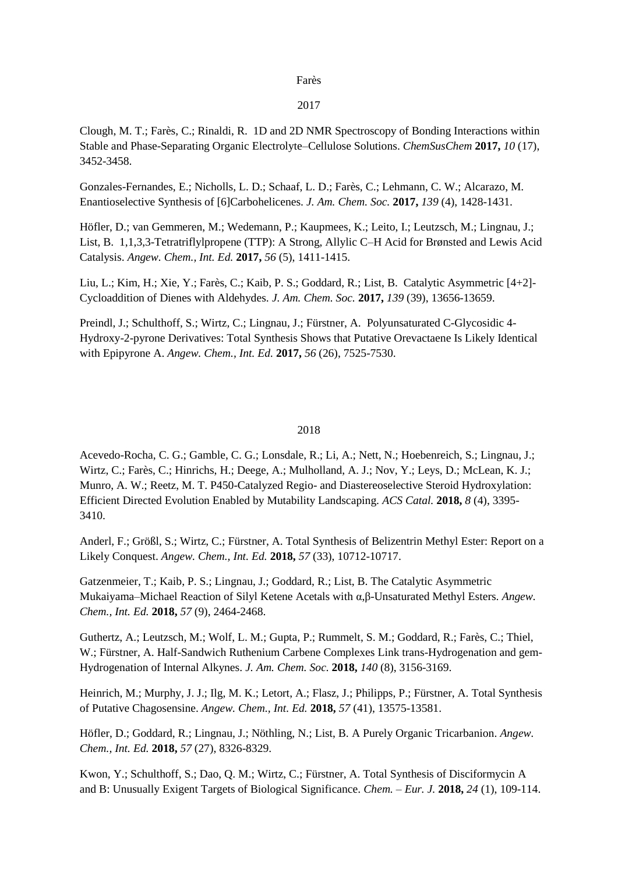#### Farès

### 2017

Clough, M. T.; Farès, C.; Rinaldi, R. 1D and 2D NMR Spectroscopy of Bonding Interactions within Stable and Phase-Separating Organic Electrolyte–Cellulose Solutions. *ChemSusChem* **2017,** *10* (17), 3452-3458.

Gonzales-Fernandes, E.; Nicholls, L. D.; Schaaf, L. D.; Farès, C.; Lehmann, C. W.; Alcarazo, M. Enantioselective Synthesis of [6]Carbohelicenes. *J. Am. Chem. Soc.* **2017,** *139* (4), 1428-1431.

Höfler, D.; van Gemmeren, M.; Wedemann, P.; Kaupmees, K.; Leito, I.; Leutzsch, M.; Lingnau, J.; List, B. 1,1,3,3-Tetratriflylpropene (TTP): A Strong, Allylic C–H Acid for Brønsted and Lewis Acid Catalysis. *Angew. Chem., Int. Ed.* **2017,** *56* (5), 1411-1415.

Liu, L.; Kim, H.; Xie, Y.; Farès, C.; Kaib, P. S.; Goddard, R.; List, B. Catalytic Asymmetric [4+2]- Cycloaddition of Dienes with Aldehydes. *J. Am. Chem. Soc.* **2017,** *139* (39), 13656-13659.

Preindl, J.; Schulthoff, S.; Wirtz, C.; Lingnau, J.; Fürstner, A. Polyunsaturated C-Glycosidic 4- Hydroxy-2-pyrone Derivatives: Total Synthesis Shows that Putative Orevactaene Is Likely Identical with Epipyrone A. *Angew. Chem., Int. Ed.* **2017,** *56* (26), 7525-7530.

### 2018

Acevedo-Rocha, C. G.; Gamble, C. G.; Lonsdale, R.; Li, A.; Nett, N.; Hoebenreich, S.; Lingnau, J.; Wirtz, C.; Farès, C.; Hinrichs, H.; Deege, A.; Mulholland, A. J.; Nov, Y.; Leys, D.; McLean, K. J.; Munro, A. W.; Reetz, M. T. P450-Catalyzed Regio- and Diastereoselective Steroid Hydroxylation: Efficient Directed Evolution Enabled by Mutability Landscaping. *ACS Catal.* **2018,** *8* (4), 3395- 3410.

Anderl, F.; Größl, S.; Wirtz, C.; Fürstner, A. Total Synthesis of Belizentrin Methyl Ester: Report on a Likely Conquest. *Angew. Chem., Int. Ed.* **2018,** *57* (33), 10712-10717.

Gatzenmeier, T.; Kaib, P. S.; Lingnau, J.; Goddard, R.; List, B. The Catalytic Asymmetric Mukaiyama–Michael Reaction of Silyl Ketene Acetals with α,β-Unsaturated Methyl Esters. *Angew. Chem., Int. Ed.* **2018,** *57* (9), 2464-2468.

Guthertz, A.; Leutzsch, M.; Wolf, L. M.; Gupta, P.; Rummelt, S. M.; Goddard, R.; Farès, C.; Thiel, W.; Fürstner, A. Half-Sandwich Ruthenium Carbene Complexes Link trans-Hydrogenation and gem-Hydrogenation of Internal Alkynes. *J. Am. Chem. Soc.* **2018,** *140* (8), 3156-3169.

Heinrich, M.; Murphy, J. J.; Ilg, M. K.; Letort, A.; Flasz, J.; Philipps, P.; Fürstner, A. Total Synthesis of Putative Chagosensine. *Angew. Chem., Int. Ed.* **2018,** *57* (41), 13575-13581.

Höfler, D.; Goddard, R.; Lingnau, J.; Nöthling, N.; List, B. A Purely Organic Tricarbanion. *Angew. Chem., Int. Ed.* **2018,** *57* (27), 8326-8329.

Kwon, Y.; Schulthoff, S.; Dao, Q. M.; Wirtz, C.; Fürstner, A. Total Synthesis of Disciformycin A and B: Unusually Exigent Targets of Biological Significance. *Chem. – Eur. J.* **2018,** *24* (1), 109-114.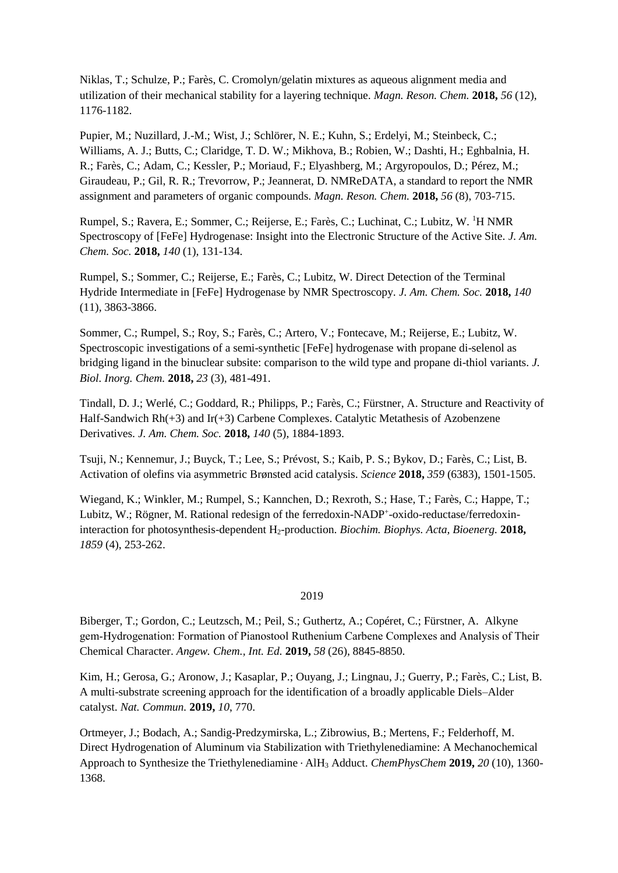Niklas, T.; Schulze, P.; Farès, C. Cromolyn/gelatin mixtures as aqueous alignment media and utilization of their mechanical stability for a layering technique. *Magn. Reson. Chem.* **2018,** *56* (12), 1176-1182.

Pupier, M.; Nuzillard, J.-M.; Wist, J.; Schlörer, N. E.; Kuhn, S.; Erdelyi, M.; Steinbeck, C.; Williams, A. J.; Butts, C.; Claridge, T. D. W.; Mikhova, B.; Robien, W.; Dashti, H.; Eghbalnia, H. R.; Farès, C.; Adam, C.; Kessler, P.; Moriaud, F.; Elyashberg, M.; Argyropoulos, D.; Pérez, M.; Giraudeau, P.; Gil, R. R.; Trevorrow, P.; Jeannerat, D. NMReDATA, a standard to report the NMR assignment and parameters of organic compounds. *Magn. Reson. Chem.* **2018,** *56* (8), 703-715.

Rumpel, S.; Ravera, E.; Sommer, C.; Reijerse, E.; Farès, C.; Luchinat, C.; Lubitz, W. <sup>1</sup>H NMR Spectroscopy of [FeFe] Hydrogenase: Insight into the Electronic Structure of the Active Site. *J. Am. Chem. Soc.* **2018,** *140* (1), 131-134.

Rumpel, S.; Sommer, C.; Reijerse, E.; Farès, C.; Lubitz, W. Direct Detection of the Terminal Hydride Intermediate in [FeFe] Hydrogenase by NMR Spectroscopy. *J. Am. Chem. Soc.* **2018,** *140*  (11), 3863-3866.

Sommer, C.; Rumpel, S.; Roy, S.; Farès, C.; Artero, V.; Fontecave, M.; Reijerse, E.; Lubitz, W. Spectroscopic investigations of a semi-synthetic [FeFe] hydrogenase with propane di-selenol as bridging ligand in the binuclear subsite: comparison to the wild type and propane di-thiol variants. *J. Biol. Inorg. Chem.* **2018,** *23* (3), 481-491.

Tindall, D. J.; Werlé, C.; Goddard, R.; Philipps, P.; Farès, C.; Fürstner, A. Structure and Reactivity of Half-Sandwich Rh(+3) and Ir(+3) Carbene Complexes. Catalytic Metathesis of Azobenzene Derivatives. *J. Am. Chem. Soc.* **2018,** *140* (5), 1884-1893.

Tsuji, N.; Kennemur, J.; Buyck, T.; Lee, S.; Prévost, S.; Kaib, P. S.; Bykov, D.; Farès, C.; List, B. Activation of olefins via asymmetric Brønsted acid catalysis. *Science* **2018,** *359* (6383), 1501-1505.

Wiegand, K.; Winkler, M.; Rumpel, S.; Kannchen, D.; Rexroth, S.; Hase, T.; Farès, C.; Happe, T.; Lubitz, W.; Rögner, M. Rational redesign of the ferredoxin-NADP<sup>+</sup>-oxido-reductase/ferredoxininteraction for photosynthesis-dependent H2-production. *Biochim. Biophys. Acta, Bioenerg.* **2018,** *1859* (4), 253-262.

### 2019

Biberger, T.; Gordon, C.; Leutzsch, M.; Peil, S.; Guthertz, A.; Copéret, C.; Fürstner, A. Alkyne gem‐Hydrogenation: Formation of Pianostool Ruthenium Carbene Complexes and Analysis of Their Chemical Character. *Angew. Chem., Int. Ed.* **2019,** *58* (26), 8845-8850.

Kim, H.; Gerosa, G.; Aronow, J.; Kasaplar, P.; Ouyang, J.; Lingnau, J.; Guerry, P.; Farès, C.; List, B. A multi-substrate screening approach for the identification of a broadly applicable Diels–Alder catalyst. *Nat. Commun.* **2019,** *10*, 770.

Ortmeyer, J.; Bodach, A.; Sandig-Predzymirska, L.; Zibrowius, B.; Mertens, F.; Felderhoff, M. Direct Hydrogenation of Aluminum via Stabilization with Triethylenediamine: A Mechanochemical Approach to Synthesize the Triethylenediamine ⋅ AlH<sup>3</sup> Adduct. *ChemPhysChem* **2019,** *20* (10), 1360- 1368.